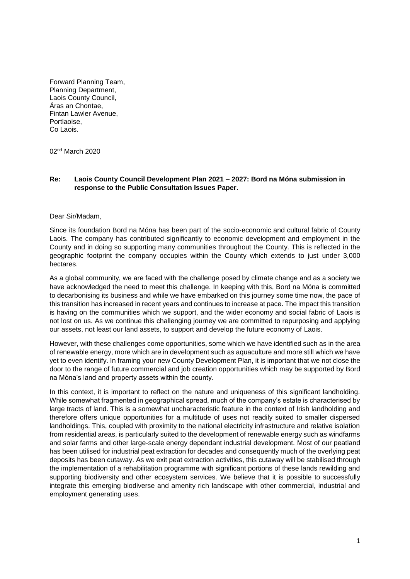Forward Planning Team, Planning Department, Laois County Council, Áras an Chontae, Fintan Lawler Avenue, Portlaoise, Co Laois.

02nd March 2020

### **Re: Laois County Council Development Plan 2021 – 2027: Bord na Móna submission in response to the Public Consultation Issues Paper.**

#### Dear Sir/Madam,

Since its foundation Bord na Móna has been part of the socio-economic and cultural fabric of County Laois. The company has contributed significantly to economic development and employment in the County and in doing so supporting many communities throughout the County. This is reflected in the geographic footprint the company occupies within the County which extends to just under 3,000 hectares.

As a global community, we are faced with the challenge posed by climate change and as a society we have acknowledged the need to meet this challenge. In keeping with this, Bord na Móna is committed to decarbonising its business and while we have embarked on this journey some time now, the pace of this transition has increased in recent years and continues to increase at pace. The impact this transition is having on the communities which we support, and the wider economy and social fabric of Laois is not lost on us. As we continue this challenging journey we are committed to repurposing and applying our assets, not least our land assets, to support and develop the future economy of Laois.

However, with these challenges come opportunities, some which we have identified such as in the area of renewable energy, more which are in development such as aquaculture and more still which we have yet to even identify. In framing your new County Development Plan, it is important that we not close the door to the range of future commercial and job creation opportunities which may be supported by Bord na Móna's land and property assets within the county.

In this context, it is important to reflect on the nature and uniqueness of this significant landholding. While somewhat fragmented in geographical spread, much of the company's estate is characterised by large tracts of land. This is a somewhat uncharacteristic feature in the context of Irish landholding and therefore offers unique opportunities for a multitude of uses not readily suited to smaller dispersed landholdings. This, coupled with proximity to the national electricity infrastructure and relative isolation from residential areas, is particularly suited to the development of renewable energy such as windfarms and solar farms and other large-scale energy dependant industrial development. Most of our peatland has been utilised for industrial peat extraction for decades and consequently much of the overlying peat deposits has been cutaway. As we exit peat extraction activities, this cutaway will be stabilised through the implementation of a rehabilitation programme with significant portions of these lands rewilding and supporting biodiversity and other ecosystem services. We believe that it is possible to successfully integrate this emerging biodiverse and amenity rich landscape with other commercial, industrial and employment generating uses.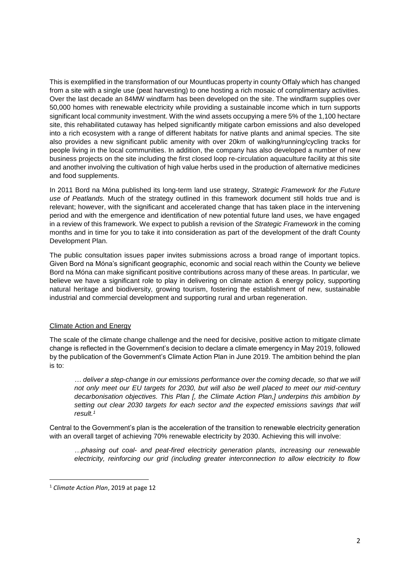This is exemplified in the transformation of our Mountlucas property in county Offaly which has changed from a site with a single use (peat harvesting) to one hosting a rich mosaic of complimentary activities. Over the last decade an 84MW windfarm has been developed on the site. The windfarm supplies over 50,000 homes with renewable electricity while providing a sustainable income which in turn supports significant local community investment. With the wind assets occupying a mere 5% of the 1,100 hectare site, this rehabilitated cutaway has helped significantly mitigate carbon emissions and also developed into a rich ecosystem with a range of different habitats for native plants and animal species. The site also provides a new significant public amenity with over 20km of walking/running/cycling tracks for people living in the local communities. In addition, the company has also developed a number of new business projects on the site including the first closed loop re-circulation aquaculture facility at this site and another involving the cultivation of high value herbs used in the production of alternative medicines and food supplements.

In 2011 Bord na Móna published its long-term land use strategy, *Strategic Framework for the Future use of Peatlands.* Much of the strategy outlined in this framework document still holds true and is relevant; however, with the significant and accelerated change that has taken place in the intervening period and with the emergence and identification of new potential future land uses, we have engaged in a review of this framework. We expect to publish a revision of the *Strategic Framework* in the coming months and in time for you to take it into consideration as part of the development of the draft County Development Plan.

The public consultation issues paper invites submissions across a broad range of important topics. Given Bord na Móna's significant geographic, economic and social reach within the County we believe Bord na Móna can make significant positive contributions across many of these areas. In particular, we believe we have a significant role to play in delivering on climate action & energy policy, supporting natural heritage and biodiversity, growing tourism, fostering the establishment of new, sustainable industrial and commercial development and supporting rural and urban regeneration.

# Climate Action and Energy

The scale of the climate change challenge and the need for decisive, positive action to mitigate climate change is reflected in the Government's decision to declare a climate emergency in May 2019, followed by the publication of the Government's Climate Action Plan in June 2019. The ambition behind the plan is to:

*… deliver a step-change in our emissions performance over the coming decade, so that we will not only meet our EU targets for 2030, but will also be well placed to meet our mid-century decarbonisation objectives. This Plan [, the Climate Action Plan,] underpins this ambition by setting out clear 2030 targets for each sector and the expected emissions savings that will result.<sup>1</sup>*

Central to the Government's plan is the acceleration of the transition to renewable electricity generation with an overall target of achieving 70% renewable electricity by 2030. Achieving this will involve:

*…phasing out coal- and peat-fired electricity generation plants, increasing our renewable electricity, reinforcing our grid (including greater interconnection to allow electricity to flow* 

**.** 

<sup>1</sup> *Climate Action Plan*, 2019 at page 12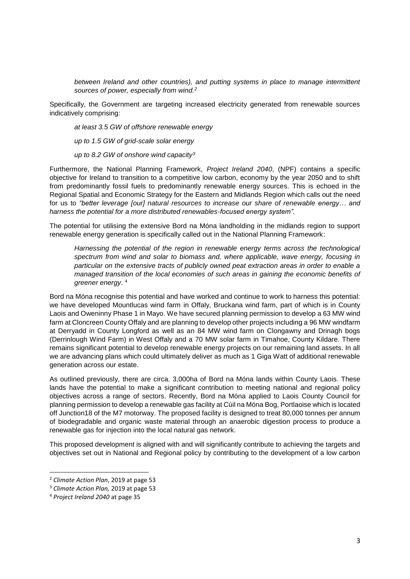*between Ireland and other countries), and putting systems in place to manage intermittent sources of power, especially from wind.<sup>2</sup>*

Specifically, the Government are targeting increased electricity generated from renewable sources indicatively comprising:

*at least 3.5 GW of offshore renewable energy*

*up to 1.5 GW of grid-scale solar energy*

*up to 8.2 GW of onshore wind capacity<sup>3</sup>*

Furthermore, the National Planning Framework, *Project Ireland 2040*, (NPF) contains a specific objective for Ireland to transition to a competitive low carbon, economy by the year 2050 and to shift from predominantly fossil fuels to predominantly renewable energy sources. This is echoed in the Regional Spatial and Economic Strategy for the Eastern and Midlands Region which calls out the need for us to *"better leverage [our] natural resources to increase our share of renewable energy… and harness the potential for a more distributed renewables-focused energy system"*.

The potential for utilising the extensive Bord na Móna landholding in the midlands region to support renewable energy generation is specifically called out in the National Planning Framework:

*Harnessing the potential of the region in renewable energy terms across the technological spectrum from wind and solar to biomass and, where applicable, wave energy, focusing in particular on the extensive tracts of publicly owned peat extraction areas in order to enable a managed transition of the local economies of such areas in gaining the economic benefits of greener energy*. 4

Bord na Móna recognise this potential and have worked and continue to work to harness this potential: we have developed Mountlucas wind farm in Offaly, Bruckana wind farm, part of which is in County Laois and Oweninny Phase 1 in Mayo. We have secured planning permission to develop a 63 MW wind farm at Cloncreen County Offaly and are planning to develop other projects including a 96 MW windfarm at Derryadd in County Longford as well as an 84 MW wind farm on Clongawny and Drinagh bogs (Derrinlough Wind Farm) in West Offaly and a 70 MW solar farm in Timahoe, County Kildare. There remains significant potential to develop renewable energy projects on our remaining land assets. In all we are advancing plans which could ultimately deliver as much as 1 Giga Watt of additional renewable generation across our estate.

As outlined previously, there are circa. 3,000ha of Bord na Móna lands within County Laois. These lands have the potential to make a significant contribution to meeting national and regional policy objectives across a range of sectors. Recently, Bord na Móna applied to Laois County Council for planning permission to develop a renewable gas facility at Cúil na Móna Bog, Portlaoise which is located off Junction18 of the M7 motorway. The proposed facility is designed to treat 80,000 tonnes per annum of biodegradable and organic waste material through an anaerobic digestion process to produce a renewable gas for injection into the local natural gas network.

This proposed development is aligned with and will significantly contribute to achieving the targets and objectives set out in National and Regional policy by contributing to the development of a low carbon

**.** 

<sup>2</sup> *Climate Action Plan*, 2019 at page 53

<sup>3</sup> *Climate Action Plan,* 2019 at page 53

<sup>4</sup> *Project Ireland 2040* at page 35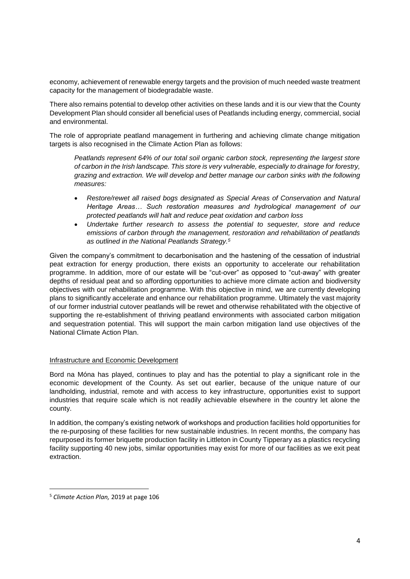economy, achievement of renewable energy targets and the provision of much needed waste treatment capacity for the management of biodegradable waste.

There also remains potential to develop other activities on these lands and it is our view that the County Development Plan should consider all beneficial uses of Peatlands including energy, commercial, social and environmental.

The role of appropriate peatland management in furthering and achieving climate change mitigation targets is also recognised in the Climate Action Plan as follows:

*Peatlands represent 64% of our total soil organic carbon stock, representing the largest store of carbon in the Irish landscape. This store is very vulnerable, especially to drainage for forestry, grazing and extraction. We will develop and better manage our carbon sinks with the following measures:*

- *Restore/rewet all raised bogs designated as Special Areas of Conservation and Natural Heritage Areas… Such restoration measures and hydrological management of our protected peatlands will halt and reduce peat oxidation and carbon loss*
- *Undertake further research to assess the potential to sequester, store and reduce emissions of carbon through the management, restoration and rehabilitation of peatlands as outlined in the National Peatlands Strategy.<sup>5</sup>*

Given the company's commitment to decarbonisation and the hastening of the cessation of industrial peat extraction for energy production, there exists an opportunity to accelerate our rehabilitation programme. In addition, more of our estate will be "cut-over" as opposed to "cut-away" with greater depths of residual peat and so affording opportunities to achieve more climate action and biodiversity objectives with our rehabilitation programme. With this objective in mind, we are currently developing plans to significantly accelerate and enhance our rehabilitation programme. Ultimately the vast majority of our former industrial cutover peatlands will be rewet and otherwise rehabilitated with the objective of supporting the re-establishment of thriving peatland environments with associated carbon mitigation and sequestration potential. This will support the main carbon mitigation land use objectives of the National Climate Action Plan.

# Infrastructure and Economic Development

Bord na Móna has played, continues to play and has the potential to play a significant role in the economic development of the County. As set out earlier, because of the unique nature of our landholding, industrial, remote and with access to key infrastructure, opportunities exist to support industries that require scale which is not readily achievable elsewhere in the country let alone the county.

In addition, the company's existing network of workshops and production facilities hold opportunities for the re-purposing of these facilities for new sustainable industries. In recent months, the company has repurposed its former briquette production facility in Littleton in County Tipperary as a plastics recycling facility supporting 40 new jobs, similar opportunities may exist for more of our facilities as we exit peat extraction.

**.** 

<sup>5</sup> *Climate Action Plan,* 2019 at page 106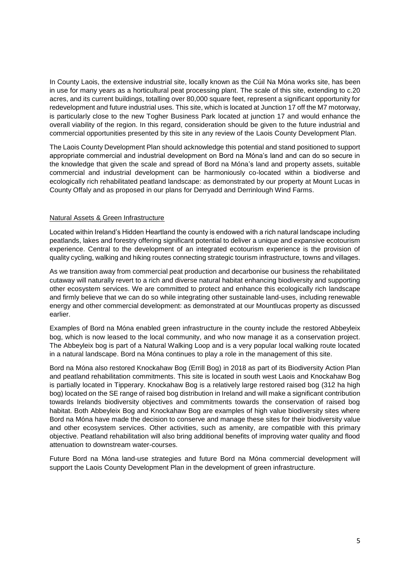In County Laois, the extensive industrial site, locally known as the Cúil Na Móna works site, has been in use for many years as a horticultural peat processing plant. The scale of this site, extending to c.20 acres, and its current buildings, totalling over 80,000 square feet, represent a significant opportunity for redevelopment and future industrial uses. This site, which is located at Junction 17 off the M7 motorway, is particularly close to the new Togher Business Park located at junction 17 and would enhance the overall viability of the region. In this regard, consideration should be given to the future industrial and commercial opportunities presented by this site in any review of the Laois County Development Plan.

The Laois County Development Plan should acknowledge this potential and stand positioned to support appropriate commercial and industrial development on Bord na Móna's land and can do so secure in the knowledge that given the scale and spread of Bord na Móna's land and property assets, suitable commercial and industrial development can be harmoniously co-located within a biodiverse and ecologically rich rehabilitated peatland landscape: as demonstrated by our property at Mount Lucas in County Offaly and as proposed in our plans for Derryadd and Derrinlough Wind Farms.

### Natural Assets & Green Infrastructure

Located within Ireland's Hidden Heartland the county is endowed with a rich natural landscape including peatlands, lakes and forestry offering significant potential to deliver a unique and expansive ecotourism experience. Central to the development of an integrated ecotourism experience is the provision of quality cycling, walking and hiking routes connecting strategic tourism infrastructure, towns and villages.

As we transition away from commercial peat production and decarbonise our business the rehabilitated cutaway will naturally revert to a rich and diverse natural habitat enhancing biodiversity and supporting other ecosystem services. We are committed to protect and enhance this ecologically rich landscape and firmly believe that we can do so while integrating other sustainable land-uses, including renewable energy and other commercial development: as demonstrated at our Mountlucas property as discussed earlier.

Examples of Bord na Móna enabled green infrastructure in the county include the restored Abbeyleix bog, which is now leased to the local community, and who now manage it as a conservation project. The Abbeyleix bog is part of a Natural Walking Loop and is a very popular local walking route located in a natural landscape. Bord na Móna continues to play a role in the management of this site.

Bord na Móna also restored Knockahaw Bog (Errill Bog) in 2018 as part of its Biodiversity Action Plan and peatland rehabilitation commitments. This site is located in south west Laois and Knockahaw Bog is partially located in Tipperary. Knockahaw Bog is a relatively large restored raised bog (312 ha high bog) located on the SE range of raised bog distribution in Ireland and will make a significant contribution towards Irelands biodiversity objectives and commitments towards the conservation of raised bog habitat. Both Abbeyleix Bog and Knockahaw Bog are examples of high value biodiversity sites where Bord na Móna have made the decision to conserve and manage these sites for their biodiversity value and other ecosystem services. Other activities, such as amenity, are compatible with this primary objective. Peatland rehabilitation will also bring additional benefits of improving water quality and flood attenuation to downstream water-courses.

Future Bord na Móna land-use strategies and future Bord na Móna commercial development will support the Laois County Development Plan in the development of green infrastructure.